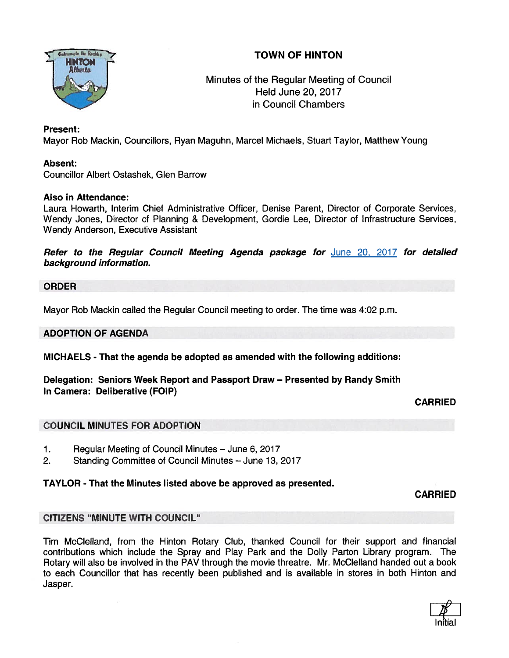## TOWN OF HINTON



## Minutes of the Regular Meeting of Council Held June 20, 2017 in Council Chambers

## Present:

Mayor Rob Mackin, Councillors, Ryan Maguhn, Marcel Michaels, Stuart Taylor, Matthew Young

## Absent:

Councillor Albert Ostashek, Glen Barrow

## Also in Attendance:

Laura Howarth, Interim Chief Administrative Officer, Denise Parent, Director of Corporate Services, Wendy Jones, Director of Planning & Development, Gordie Lee, Director of Infrastructure Services, Wendy Anderson, Executive Assistant

Refer to the Regular Council Meeting Agenda package for June 20, 2017 for detailed background information.

## ORDER

Mayor Rob Mackin called the Regular Council meeting to order. The time was 4:02 p.m.

## ADOPTION OF AGENDA

MICHAELS - That the agenda be adopted as amended with the following additions:

Delegation: Seniors Week Report and Passport Draw — Presented by Randy Smith In Camera: Deliberative (FOIP)

## CARRIED

## COUNCIL MINUTES FOR ADOPTION

- 1. Regular Meeting of Council Minutes June 6, 2017
- 2. Standing Committee of Council Minutes June 13, 2017

## TAYLOR - That the Minutes listed above be approved as presented.

CARRIED

## CITIZENS "MINUTE WITH COUNCIL"

Tim McClelland, from the Hinton Rotary Club, thanked Council for their suppor<sup>t</sup> and financial contributions which include the Spray and Play Park and the Dolly Parton Library program. The Rotary will also be involved in the PAV through the movie threatre. Mr. McClelland handed out <sup>a</sup> book to each Councillor that has recently been published and is available in stores in both Hinton and Jasper.

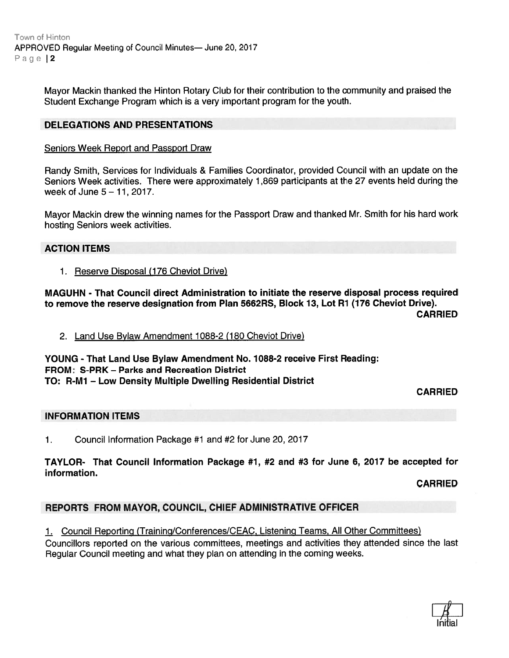Town of Hinton APPROVED Regular Meeting of Council Minutes— June 20, 2017 Page 12

> Mayor Mackin thanked the Hinton Rotary Club for their contribution to the community and praised the Student Exchange Program which is <sup>a</sup> very important program for the youth.

## DELEGATIONS AND PRESENTATIONS

#### Seniors Week Report and Passport Draw

Randy Smith, Services for Individuals & Families Coordinator, provided Council with an update on the Seniors Week activities. There were approximately 1,869 participants at the 27 events held during the week of June  $5 - 11$ , 2017.

Mayor Mackin drew the winning names for the Passport Draw and thanked Mr. Smith for his hard work hosting Seniors week activities.

#### ACTION ITEMS

1. Reserve Disposal (176 Cheviot Drive)

MAGUHN - That Council direct Administration to initiate the reserve disposal process required to remove the reserve designation from Plan 5662RS, Block 13, Lot Ri (776 Cheviot Drive).

CARRIED

2. Land Use Bylaw Amendment 1088-2 (180 Cheviot Drive)

YOUNG - That Land Use Bylaw Amendment No. 1088-2 receive First Reading: FROM: S-PRK - Parks and Recreation District TO: R-M1 — Low Density Multiple Dwelling Residential District

CARRIED

#### INFORMATION ITEMS

1. Council Information Package #1 and #2 for June 20, 2017

TAYLOR- That Council Information Package #1, #2 and #3 for June 6, 2017 be accepted for information.

CARRIED

## REPORTS FROM MAYOR, COUNCIL, CHIEF ADMINISTRATIVE OFFICER

1. Council Reporting (Training/Conferences/CEAC, Listening Teams, All Other Committees)

Councillors reported on the various committees, meetings and activities they attended since the last Regular Council meeting and what they plan on attending in the coming weeks.